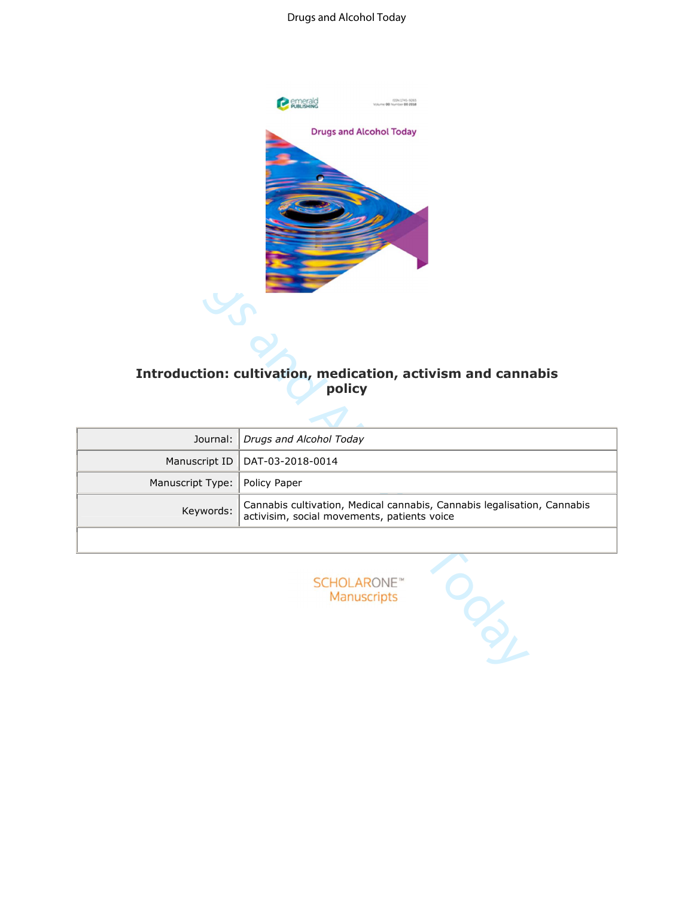### Drugs and Alcohol Today



## **Introduction: cultivation, medication, activism and cannabis policy**

| Introduction: cultivation, medication, activism and cannabis<br>policy |                                                                                                                        |  |
|------------------------------------------------------------------------|------------------------------------------------------------------------------------------------------------------------|--|
| Journal:                                                               | Drugs and Alcohol Today                                                                                                |  |
| Manuscript ID                                                          | DAT-03-2018-0014                                                                                                       |  |
| Manuscript Type:                                                       | Policy Paper                                                                                                           |  |
| Keywords:                                                              | Cannabis cultivation, Medical cannabis, Cannabis legalisation, Cannabis<br>activisim, social movements, patients voice |  |
|                                                                        |                                                                                                                        |  |
|                                                                        | <b>SCHOLARONE<sup>™</sup></b><br>Manuscripts                                                                           |  |

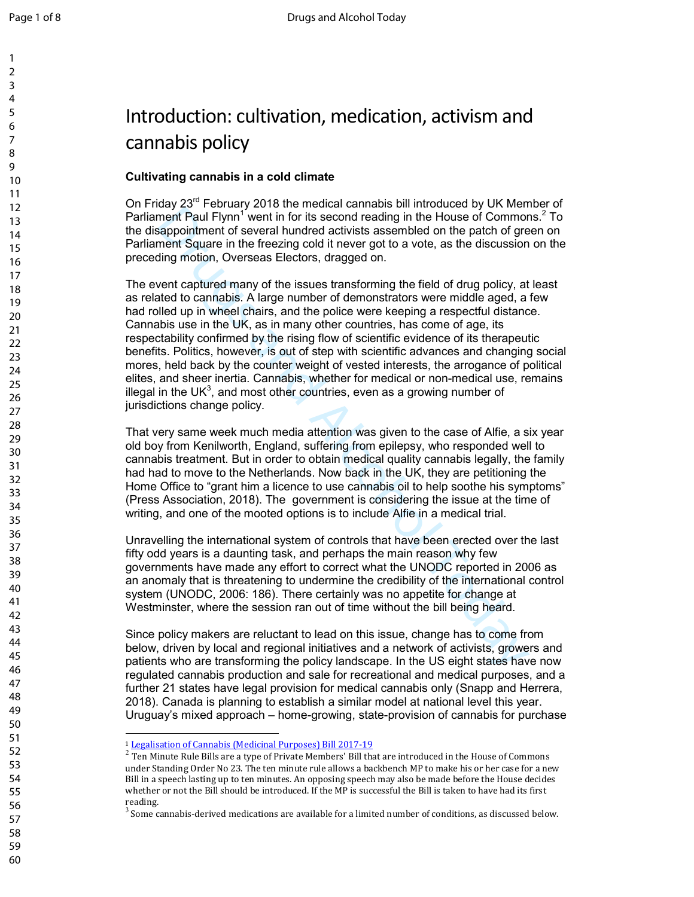# Introduction: cultivation, medication, activism and cannabis policy

#### **Cultivating cannabis in a cold climate**

On Fridav 23<sup>rd</sup> February 2018 the medical cannabis bill introduced by UK Member of Parliament Paul Flynn<sup>1</sup> went in for its second reading in the House of Commons.<sup>2</sup> To the disappointment of several hundred activists assembled on the patch of green on Parliament Square in the freezing cold it never got to a vote, as the discussion on the preceding motion, Overseas Electors, dragged on.

Low the total protocol and a the difference and a state of the meat of the proportion of the proportion and altern in the House of Common<br>ment Paul Flynn' went in for its second reading in the House of Common<br>ment Square i The event captured many of the issues transforming the field of drug policy, at least as related to cannabis. A large number of demonstrators were middle aged, a few had rolled up in wheel chairs, and the police were keeping a respectful distance. Cannabis use in the UK, as in many other countries, has come of age, its respectability confirmed by the rising flow of scientific evidence of its therapeutic benefits. Politics, however, is out of step with scientific advances and changing social mores, held back by the counter weight of vested interests, the arrogance of political elites, and sheer inertia. Cannabis, whether for medical or non-medical use, remains illegal in the UK<sup>3</sup>, and most other countries, even as a growing number of jurisdictions change policy.

That very same week much media attention was given to the case of Alfie, a six year old boy from Kenilworth, England, suffering from epilepsy, who responded well to cannabis treatment. But in order to obtain medical quality cannabis legally, the family had had to move to the Netherlands. Now back in the UK, they are petitioning the Home Office to "grant him a licence to use cannabis oil to help soothe his symptoms" (Press Association, 2018). The government is considering the issue at the time of writing, and one of the mooted options is to include Alfie in a medical trial.

Unravelling the international system of controls that have been erected over the last fifty odd years is a daunting task, and perhaps the main reason why few governments have made any effort to correct what the UNODC reported in 2006 as an anomaly that is threatening to undermine the credibility of the international control system (UNODC, 2006: 186). There certainly was no appetite for change at Westminster, where the session ran out of time without the bill being heard.

Since policy makers are reluctant to lead on this issue, change has to come from below, driven by local and regional initiatives and a network of activists, growers and patients who are transforming the policy landscape. In the US eight states have now regulated cannabis production and sale for recreational and medical purposes, and a further 21 states have legal provision for medical cannabis only (Snapp and Herrera, 2018). Canada is planning to establish a similar model at national level this year. Uruguay's mixed approach – home-growing, state-provision of cannabis for purchase

l <sup>1</sup> Legalisation of Cannabis (Medicinal Purposes) Bill 2017-19

<sup>&</sup>lt;sup>2</sup> Ten Minute Rule Bills are a type of Private Members' Bill that are introduced in the House of Commons under Standing Order No 23. The ten minute rule allows a backbench MP to make his or her case for a new Bill in a speech lasting up to ten minutes. An opposing speech may also be made before the House decides whether or not the Bill should be introduced. If the MP is successful the Bill is taken to have had its first reading.

<sup>3</sup>Some cannabis-derived medications are available for a limited number of conditions, as discussed below.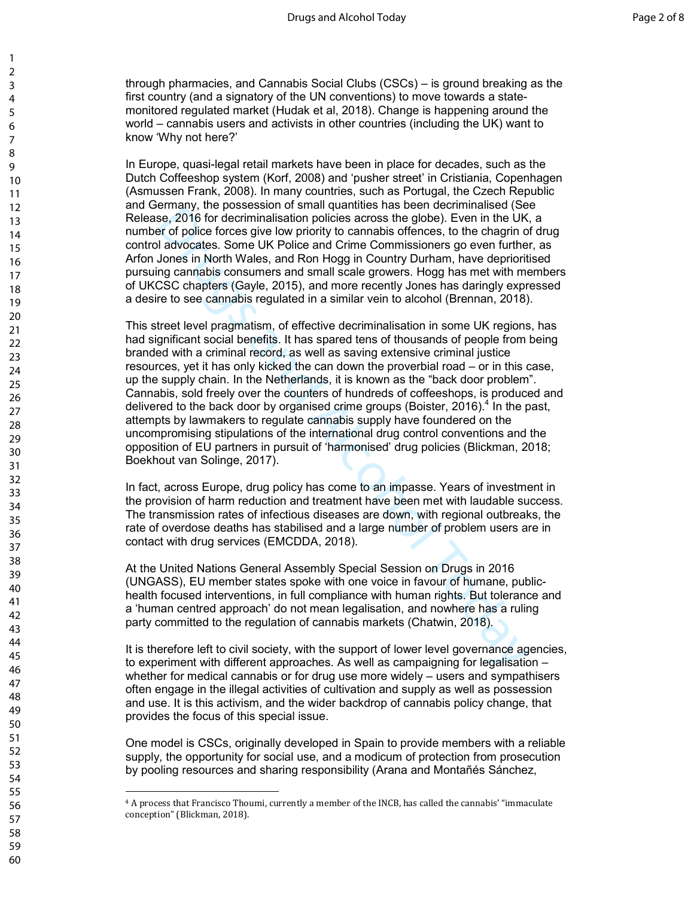through pharmacies, and Cannabis Social Clubs (CSCs) – is ground breaking as the first country (and a signatory of the UN conventions) to move towards a statemonitored regulated market (Hudak et al, 2018). Change is happening around the world – cannabis users and activists in other countries (including the UK) want to know 'Why not here?'

In Europe, quasi-legal retail markets have been in place for decades, such as the Dutch Coffeeshop system (Korf, 2008) and 'pusher street' in Cristiania, Copenhagen (Asmussen Frank, 2008). In many countries, such as Portugal, the Czech Republic and Germany, the possession of small quantities has been decriminalised (See Release, 2016 for decriminalisation policies across the globe). Even in the UK, a number of police forces give low priority to cannabis offences, to the chagrin of drug control advocates. Some UK Police and Crime Commissioners go even further, as Arfon Jones in North Wales, and Ron Hogg in Country Durham, have deprioritised pursuing cannabis consumers and small scale growers. Hogg has met with members of UKCSC chapters (Gayle, 2015), and more recently Jones has daringly expressed a desire to see cannabis regulated in a similar vein to alcohol (Brennan, 2018).

entrany, the possession of smart parameterizes has been centriminated been asses. (2016 for decrimination policies across the globe). Even in the UK, as et a forecit of police forces give low priority to cannabis offences, This street level pragmatism, of effective decriminalisation in some UK regions, has had significant social benefits. It has spared tens of thousands of people from being branded with a criminal record, as well as saving extensive criminal justice resources, yet it has only kicked the can down the proverbial road – or in this case, up the supply chain. In the Netherlands, it is known as the "back door problem". Cannabis, sold freely over the counters of hundreds of coffeeshops, is produced and delivered to the back door by organised crime groups (Boister, 2016).<sup>4</sup> In the past, attempts by lawmakers to regulate cannabis supply have foundered on the uncompromising stipulations of the international drug control conventions and the opposition of EU partners in pursuit of 'harmonised' drug policies (Blickman, 2018; Boekhout van Solinge, 2017).

In fact, across Europe, drug policy has come to an impasse. Years of investment in the provision of harm reduction and treatment have been met with laudable success. The transmission rates of infectious diseases are down, with regional outbreaks, the rate of overdose deaths has stabilised and a large number of problem users are in contact with drug services (EMCDDA, 2018).

At the United Nations General Assembly Special Session on Drugs in 2016 (UNGASS), EU member states spoke with one voice in favour of humane, publichealth focused interventions, in full compliance with human rights. But tolerance and a 'human centred approach' do not mean legalisation, and nowhere has a ruling party committed to the regulation of cannabis markets (Chatwin, 2018).

It is therefore left to civil society, with the support of lower level governance agencies, to experiment with different approaches. As well as campaigning for legalisation – whether for medical cannabis or for drug use more widely – users and sympathisers often engage in the illegal activities of cultivation and supply as well as possession and use. It is this activism, and the wider backdrop of cannabis policy change, that provides the focus of this special issue.

One model is CSCs, originally developed in Spain to provide members with a reliable supply, the opportunity for social use, and a modicum of protection from prosecution by pooling resources and sharing responsibility (Arana and Montañés Sánchez,

l <sup>4</sup> A process that Francisco Thoumi, currently a member of the INCB, has called the cannabis' "immaculate conception" (Blickman, 2018).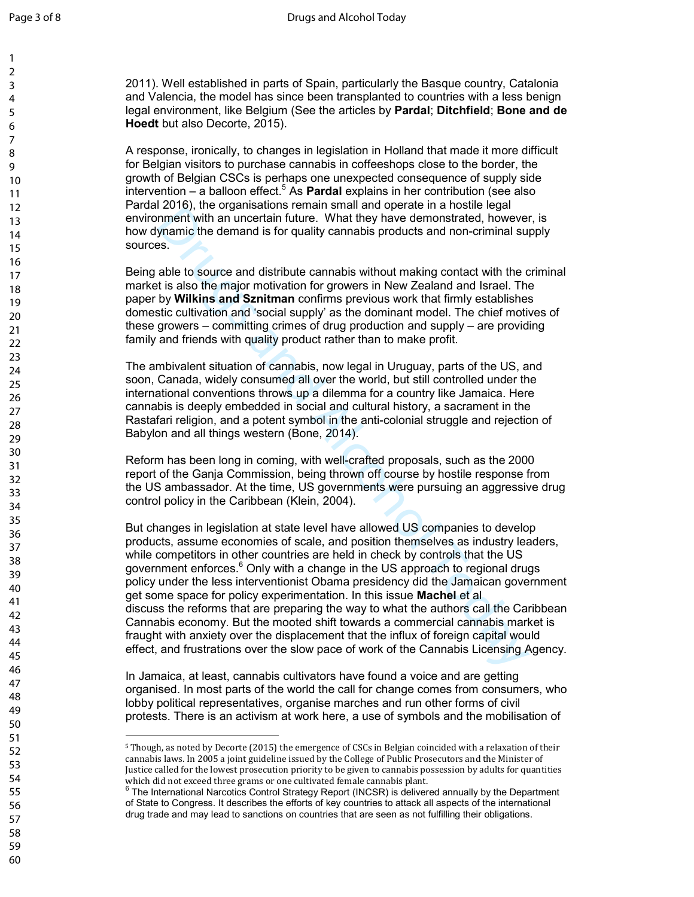60

2011). Well established in parts of Spain, particularly the Basque country, Catalonia and Valencia, the model has since been transplanted to countries with a less benign legal environment, like Belgium (See the articles by **Pardal**; **Ditchfield**; **Bone and de Hoedt** but also Decorte, 2015).

A response, ironically, to changes in legislation in Holland that made it more difficult for Belgian visitors to purchase cannabis in coffeeshops close to the border, the growth of Belgian CSCs is perhaps one unexpected consequence of supply side intervention – a balloon effect.<sup>5</sup> As **Pardal** explains in her contribution (see also Pardal 2016), the organisations remain small and operate in a hostile legal environment with an uncertain future. What they have demonstrated, however, is how dynamic the demand is for quality cannabis products and non-criminal supply sources.

Being able to source and distribute cannabis without making contact with the criminal market is also the major motivation for growers in New Zealand and Israel. The paper by **Wilkins and Sznitman** confirms previous work that firmly establishes domestic cultivation and 'social supply' as the dominant model. The chief motives of these growers – committing crimes of drug production and supply – are providing family and friends with quality product rather than to make profit.

The ambivalent situation of cannabis, now legal in Uruguay, parts of the US, and soon, Canada, widely consumed all over the world, but still controlled under the international conventions throws up a dilemma for a country like Jamaica. Here cannabis is deeply embedded in social and cultural history, a sacrament in the Rastafari religion, and a potent symbol in the anti-colonial struggle and rejection of Babylon and all things western (Bone, 2014).

Reform has been long in coming, with well-crafted proposals, such as the 2000 report of the Ganja Commission, being thrown off course by hostile response from the US ambassador. At the time, US governments were pursuing an aggressive drug control policy in the Caribbean (Klein, 2004).

Corruption and all things under the main and when the other in anomore and the computer and the mind and the computer of the discussion and the discussion and the discussion and the discussion and the discussion and Strati But changes in legislation at state level have allowed US companies to develop products, assume economies of scale, and position themselves as industry leaders, while competitors in other countries are held in check by controls that the US government enforces.<sup>6</sup> Only with a change in the US approach to regional drugs policy under the less interventionist Obama presidency did the Jamaican government get some space for policy experimentation. In this issue **Machel** et al discuss the reforms that are preparing the way to what the authors call the Caribbean Cannabis economy. But the mooted shift towards a commercial cannabis market is fraught with anxiety over the displacement that the influx of foreign capital would effect, and frustrations over the slow pace of work of the Cannabis Licensing Agency.

In Jamaica, at least, cannabis cultivators have found a voice and are getting organised. In most parts of the world the call for change comes from consumers, who lobby political representatives, organise marches and run other forms of civil protests. There is an activism at work here, a use of symbols and the mobilisation of

l <sup>5</sup>Though, as noted by Decorte (2015) the emergence of CSCs in Belgian coincided with a relaxation of their cannabis laws. In 2005 a joint guideline issued by the College of Public Prosecutors and the Minister of Justice called for the lowest prosecution priority to be given to cannabis possession by adults for quantities which did not exceed three grams or one cultivated female cannabis plant.

<sup>&</sup>lt;sup>6</sup> The International Narcotics Control Strategy Report (INCSR) is delivered annually by the Department of State to Congress. It describes the efforts of key countries to attack all aspects of the international drug trade and may lead to sanctions on countries that are seen as not fulfilling their obligations.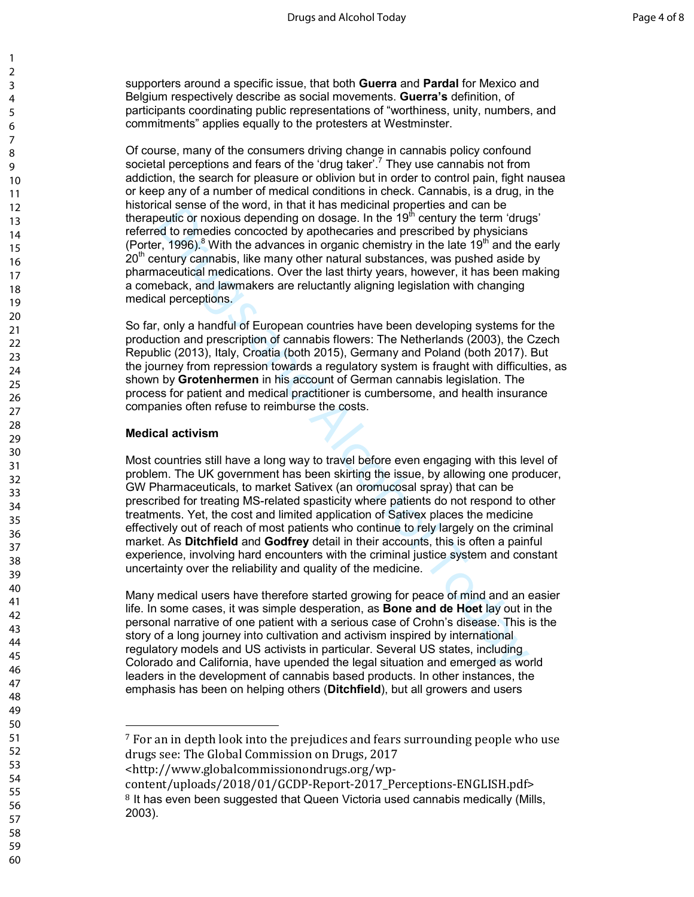supporters around a specific issue, that both **Guerra** and **Pardal** for Mexico and Belgium respectively describe as social movements. **Guerra's** definition, of participants coordinating public representations of "worthiness, unity, numbers, and commitments" applies equally to the protesters at Westminster.

Of course, many of the consumers driving change in cannabis policy confound societal perceptions and fears of the 'drug taker'.<sup>7</sup> They use cannabis not from addiction, the search for pleasure or oblivion but in order to control pain, fight nausea or keep any of a number of medical conditions in check. Cannabis, is a drug, in the historical sense of the word, in that it has medicinal properties and can be therapeutic or noxious depending on dosage. In the  $19<sup>th</sup>$  century the term 'drugs' referred to remedies concocted by apothecaries and prescribed by physicians (Porter, 1996).<sup>8</sup> With the advances in organic chemistry in the late 19<sup>th</sup> and the early  $20<sup>th</sup>$  century cannabis, like many other natural substances, was pushed aside by pharmaceutical medications. Over the last thirty years, however, it has been making a comeback, and lawmakers are reluctantly aligning legislation with changing medical perceptions.

So far, only a handful of European countries have been developing systems for the production and prescription of cannabis flowers: The Netherlands (2003), the Czech Republic (2013), Italy, Croatia (both 2015), Germany and Poland (both 2017). But the journey from repression towards a regulatory system is fraught with difficulties, as shown by **Grotenhermen** in his account of German cannabis legislation. The process for patient and medical practitioner is cumbersome, and health insurance companies often refuse to reimburse the costs.

#### **Medical activism**

l

Exarge to the woot, in that mass interacting popertus and can be the definited of nonkolos depending on dosage. In the 19<sup>91</sup> century the term "drug do to remedies concocled by apolfecaries and prescribed by physicians and Most countries still have a long way to travel before even engaging with this level of problem. The UK government has been skirting the issue, by allowing one producer, GW Pharmaceuticals, to market Sativex (an oromucosal spray) that can be prescribed for treating MS-related spasticity where patients do not respond to other treatments. Yet, the cost and limited application of Sativex places the medicine effectively out of reach of most patients who continue to rely largely on the criminal market. As **Ditchfield** and **Godfrey** detail in their accounts, this is often a painful experience, involving hard encounters with the criminal justice system and constant uncertainty over the reliability and quality of the medicine.

Many medical users have therefore started growing for peace of mind and an easier life. In some cases, it was simple desperation, as **Bone and de Hoet** lay out in the personal narrative of one patient with a serious case of Crohn's disease. This is the story of a long journey into cultivation and activism inspired by international regulatory models and US activists in particular. Several US states, including Colorado and California, have upended the legal situation and emerged as world leaders in the development of cannabis based products. In other instances, the emphasis has been on helping others (**Ditchfield**), but all growers and users

<http://www.globalcommissionondrugs.org/wp-

<sup>7</sup> For an in depth look into the prejudices and fears surrounding people who use drugs see: The Global Commission on Drugs, 2017

content/uploads/2018/01/GCDP-Report-2017\_Perceptions-ENGLISH.pdf> <sup>8</sup> It has even been suggested that Queen Victoria used cannabis medically (Mills, 2003).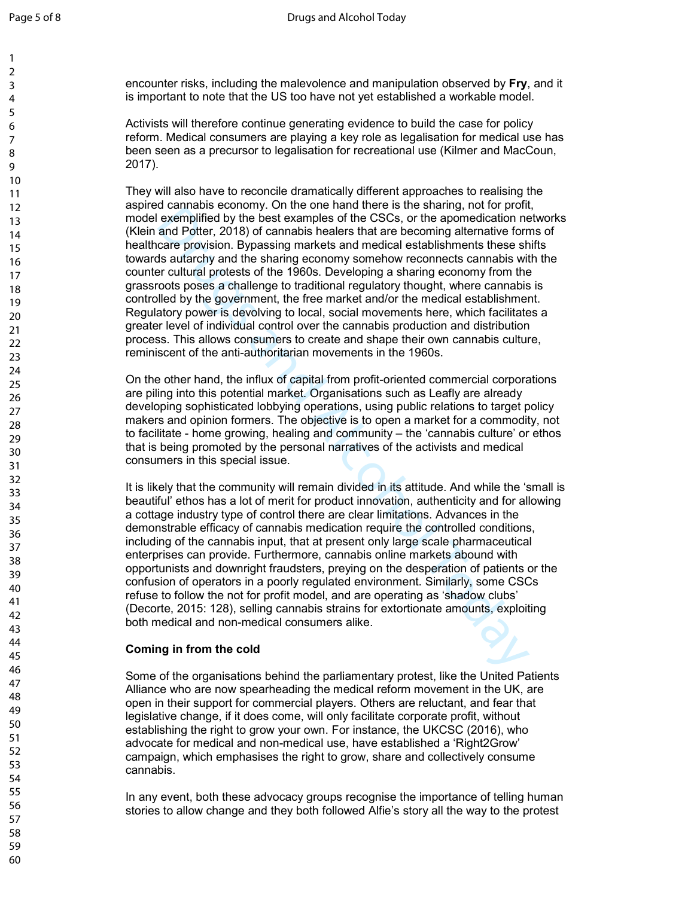encounter risks, including the malevolence and manipulation observed by **Fry**, and it is important to note that the US too have not yet established a workable model.

Activists will therefore continue generating evidence to build the case for policy reform. Medical consumers are playing a key role as legalisation for medical use has been seen as a precursor to legalisation for recreational use (Kilmer and MacCoun, 2017).

of a cannot be the mail of the cannot and performation of examples of the DSCs, or the approach and Potter, 2018) of cannabis healers that are becoming alternative form care provision. By<br>passing markets and medicide test They will also have to reconcile dramatically different approaches to realising the aspired cannabis economy. On the one hand there is the sharing, not for profit, model exemplified by the best examples of the CSCs, or the apomedication networks (Klein and Potter, 2018) of cannabis healers that are becoming alternative forms of healthcare provision. Bypassing markets and medical establishments these shifts towards autarchy and the sharing economy somehow reconnects cannabis with the counter cultural protests of the 1960s. Developing a sharing economy from the grassroots poses a challenge to traditional regulatory thought, where cannabis is controlled by the government, the free market and/or the medical establishment. Regulatory power is devolving to local, social movements here, which facilitates a greater level of individual control over the cannabis production and distribution process. This allows consumers to create and shape their own cannabis culture, reminiscent of the anti-authoritarian movements in the 1960s.

On the other hand, the influx of capital from profit-oriented commercial corporations are piling into this potential market. Organisations such as Leafly are already developing sophisticated lobbying operations, using public relations to target policy makers and opinion formers. The objective is to open a market for a commodity, not to facilitate - home growing, healing and community – the 'cannabis culture' or ethos that is being promoted by the personal narratives of the activists and medical consumers in this special issue.

It is likely that the community will remain divided in its attitude. And while the 'small is beautiful' ethos has a lot of merit for product innovation, authenticity and for allowing a cottage industry type of control there are clear limitations. Advances in the demonstrable efficacy of cannabis medication require the controlled conditions, including of the cannabis input, that at present only large scale pharmaceutical enterprises can provide. Furthermore, cannabis online markets abound with opportunists and downright fraudsters, preying on the desperation of patients or the confusion of operators in a poorly regulated environment. Similarly, some CSCs refuse to follow the not for profit model, and are operating as 'shadow clubs' (Decorte, 2015: 128), selling cannabis strains for extortionate amounts, exploiting both medical and non-medical consumers alike.

#### **Coming in from the cold**

Some of the organisations behind the parliamentary protest, like the United Patients Alliance who are now spearheading the medical reform movement in the UK, are open in their support for commercial players. Others are reluctant, and fear that legislative change, if it does come, will only facilitate corporate profit, without establishing the right to grow your own. For instance, the UKCSC (2016), who advocate for medical and non-medical use, have established a 'Right2Grow' campaign, which emphasises the right to grow, share and collectively consume cannabis.

In any event, both these advocacy groups recognise the importance of telling human stories to allow change and they both followed Alfie's story all the way to the protest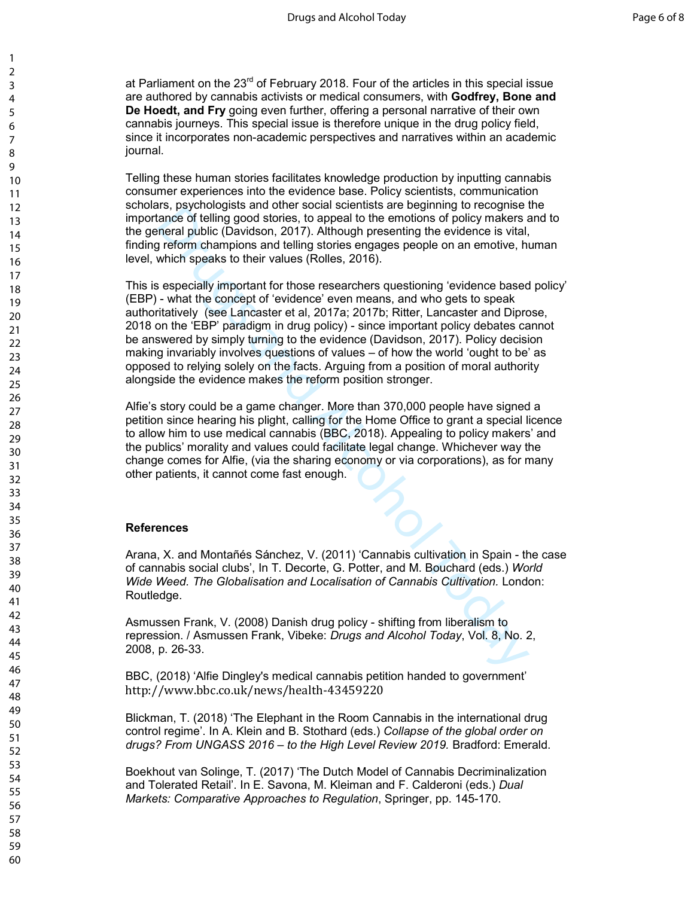at Parliament on the  $23<sup>rd</sup>$  of February 2018. Four of the articles in this special issue are authored by cannabis activists or medical consumers, with **Godfrey, Bone and De Hoedt, and Fry** going even further, offering a personal narrative of their own cannabis journeys. This special issue is therefore unique in the drug policy field, since it incorporates non-academic perspectives and narratives within an academic journal.

Telling these human stories facilitates knowledge production by inputting cannabis consumer experiences into the evidence base. Policy scientists, communication scholars, psychologists and other social scientists are beginning to recognise the importance of telling good stories, to appeal to the emotions of policy makers and to the general public (Davidson, 2017). Although presenting the evidence is vital, finding reform champions and telling stories engages people on an emotive, human level, which speaks to their values (Rolles, 2016).

ars, psychologista and varies occine statementing the constrained and considerate properation parameter of felling good stories, to appeal to the emotions of policy makers is vital, nameter public (Davidson, 2017). Althoug This is especially important for those researchers questioning 'evidence based policy' (EBP) - what the concept of 'evidence' even means, and who gets to speak authoritatively (see Lancaster et al, 2017a; 2017b; Ritter, Lancaster and Diprose, 2018 on the 'EBP' paradigm in drug policy) - since important policy debates cannot be answered by simply turning to the evidence (Davidson, 2017). Policy decision making invariably involves questions of values – of how the world 'ought to be' as opposed to relying solely on the facts. Arguing from a position of moral authority alongside the evidence makes the reform position stronger.

Alfie's story could be a game changer. More than 370,000 people have signed a petition since hearing his plight, calling for the Home Office to grant a special licence to allow him to use medical cannabis (BBC, 2018). Appealing to policy makers' and the publics' morality and values could facilitate legal change. Whichever way the change comes for Alfie, (via the sharing economy or via corporations), as for many other patients, it cannot come fast enough.

#### **References**

Arana, X. and Montañés Sánchez, V. (2011) 'Cannabis cultivation in Spain - the case of cannabis social clubs', In T. Decorte, G. Potter, and M. Bouchard (eds.) *World Wide Weed. The Globalisation and Localisation of Cannabis Cultivation.* London: Routledge.

Asmussen Frank, V. (2008) Danish drug policy - shifting from liberalism to repression. / Asmussen Frank, Vibeke: *Drugs and Alcohol Today*, Vol. 8, No. 2, 2008, p. 26-33.

BBC, (2018) 'Alfie Dingley's medical cannabis petition handed to government' http://www.bbc.co.uk/news/health-43459220

Blickman, T. (2018) 'The Elephant in the Room Cannabis in the international drug control regime'. In A. Klein and B. Stothard (eds.) *Collapse of the global order on drugs? From UNGASS 2016 – to the High Level Review 2019.* Bradford: Emerald.

Boekhout van Solinge, T. (2017) 'The Dutch Model of Cannabis Decriminalization and Tolerated Retail'. In E. Savona, M. Kleiman and F. Calderoni (eds.) *Dual Markets: Comparative Approaches to Regulation*, Springer, pp. 145-170.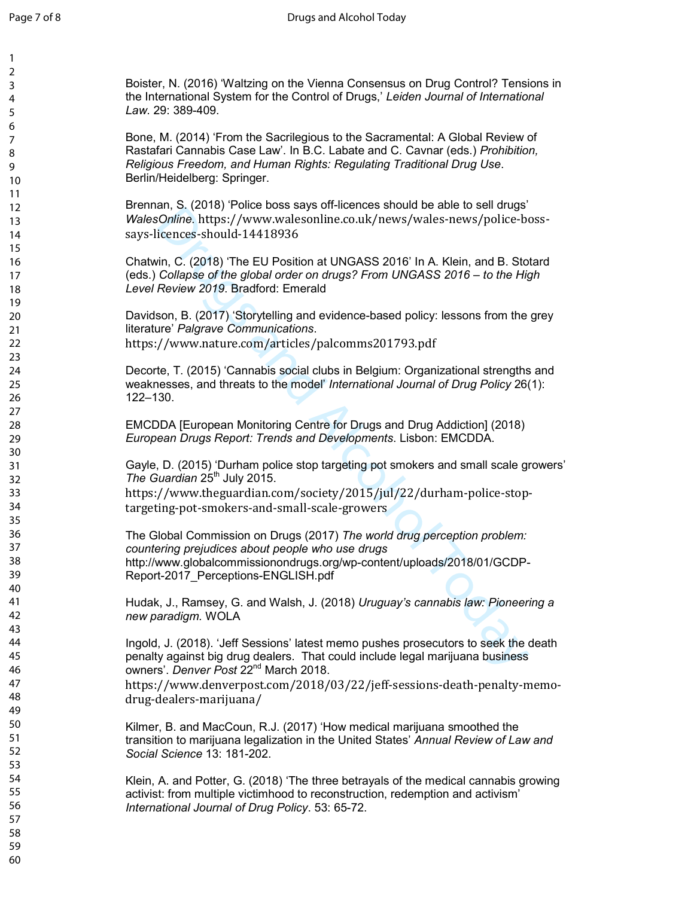| 1        |                                                                                                                                                                      |
|----------|----------------------------------------------------------------------------------------------------------------------------------------------------------------------|
| 2        |                                                                                                                                                                      |
| 3        | Boister, N. (2016) 'Waltzing on the Vienna Consensus on Drug Control? Tensions in                                                                                    |
| 4        | the International System for the Control of Drugs,' Leiden Journal of International                                                                                  |
| 5        | Law. 29: 389-409.                                                                                                                                                    |
| 6        |                                                                                                                                                                      |
| 7        | Bone, M. (2014) 'From the Sacrilegious to the Sacramental: A Global Review of                                                                                        |
| 8        | Rastafari Cannabis Case Law'. In B.C. Labate and C. Cavnar (eds.) Prohibition,                                                                                       |
| 9        | Religious Freedom, and Human Rights: Regulating Traditional Drug Use.                                                                                                |
| 10       | Berlin/Heidelberg: Springer.                                                                                                                                         |
| 11       |                                                                                                                                                                      |
| 12       | Brennan, S. (2018) 'Police boss says off-licences should be able to sell drugs'                                                                                      |
| 13       | WalesOnline. https://www.walesonline.co.uk/news/wales-news/police-boss-                                                                                              |
| 14       | says-licences-should-14418936                                                                                                                                        |
| 15       |                                                                                                                                                                      |
| 16       | Chatwin, C. (2018) 'The EU Position at UNGASS 2016' In A. Klein, and B. Stotard                                                                                      |
| 17       | (eds.) Collapse of the global order on drugs? From UNGASS 2016 - to the High                                                                                         |
| 18       | Level Review 2019. Bradford: Emerald                                                                                                                                 |
| 19       |                                                                                                                                                                      |
| 20       | Davidson, B. (2017) 'Storytelling and evidence-based policy: lessons from the grey                                                                                   |
| 21       | literature' Palgrave Communications.                                                                                                                                 |
| 22       | https://www.nature.com/articles/palcomms201793.pdf                                                                                                                   |
| 23       |                                                                                                                                                                      |
| 24       | Decorte, T. (2015) 'Cannabis social clubs in Belgium: Organizational strengths and                                                                                   |
| 25       | weaknesses, and threats to the model' International Journal of Drug Policy 26(1):                                                                                    |
| 26       | 122-130.                                                                                                                                                             |
| 27       |                                                                                                                                                                      |
| 28       | EMCDDA [European Monitoring Centre for Drugs and Drug Addiction] (2018)                                                                                              |
| 29       | European Drugs Report: Trends and Developments. Lisbon: EMCDDA.                                                                                                      |
| 30       |                                                                                                                                                                      |
| 31       | Gayle, D. (2015) 'Durham police stop targeting pot smokers and small scale growers'                                                                                  |
| 32       | The Guardian 25 <sup>th</sup> July 2015.                                                                                                                             |
| 33       | https://www.theguardian.com/society/2015/jul/22/durham-police-stop-                                                                                                  |
| 34       | targeting-pot-smokers-and-small-scale-growers                                                                                                                        |
| 35       |                                                                                                                                                                      |
| 36       | The Global Commission on Drugs (2017) The world drug perception problem:                                                                                             |
| 37       | countering prejudices about people who use drugs                                                                                                                     |
| 38       | http://www.globalcommissionondrugs.org/wp-content/uploads/2018/01/GCDP-                                                                                              |
| 39       | Report-2017 Perceptions-ENGLISH.pdf                                                                                                                                  |
| 40       |                                                                                                                                                                      |
| 41       | Hudak, J., Ramsey, G. and Walsh, J. (2018) Uruguay's cannabis law: Pioneering a                                                                                      |
| 42       | new paradigm. WOLA                                                                                                                                                   |
| 43<br>44 |                                                                                                                                                                      |
| 45       | Ingold, J. (2018). 'Jeff Sessions' latest memo pushes prosecutors to seek the death<br>penalty against big drug dealers. That could include legal marijuana business |
| 46       | owners'. Denver Post 22 <sup>nd</sup> March 2018.                                                                                                                    |
|          |                                                                                                                                                                      |
| 47       | https://www.denverpost.com/2018/03/22/jeff-sessions-death-penalty-memo-                                                                                              |
| 48       | drug-dealers-marijuana/                                                                                                                                              |
| 49<br>50 |                                                                                                                                                                      |
| 51       | Kilmer, B. and MacCoun, R.J. (2017) 'How medical marijuana smoothed the                                                                                              |
| 52       | transition to marijuana legalization in the United States' Annual Review of Law and                                                                                  |
| 53       | Social Science 13: 181-202.                                                                                                                                          |
| 54       |                                                                                                                                                                      |
| 55       | Klein, A. and Potter, G. (2018) 'The three betrayals of the medical cannabis growing                                                                                 |
| 56       | activist: from multiple victimhood to reconstruction, redemption and activism'                                                                                       |
| 57       | International Journal of Drug Policy. 53: 65-72.                                                                                                                     |
| 58       |                                                                                                                                                                      |
| 59       |                                                                                                                                                                      |
| 60       |                                                                                                                                                                      |
|          |                                                                                                                                                                      |